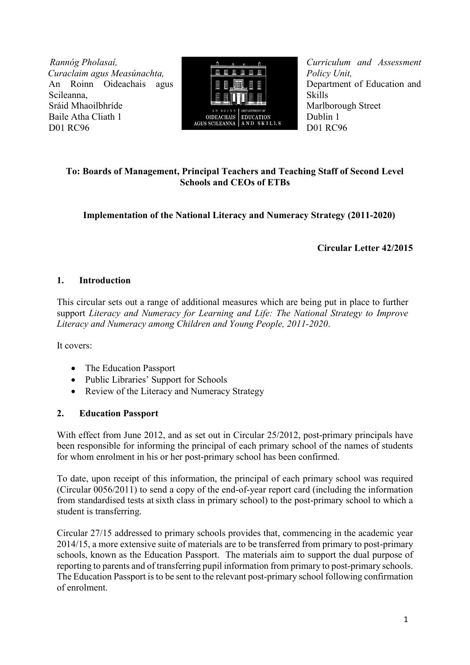*R Rannóg Pholasaí, C Curaclaim agus Measúnachta,* An Roinn Oideachais agus Scileanna, Sráid Mhaoilbhríde Baile Atha Cliath 1 D01 RC96



*Curriculum and Assessment Policy Unit,* Department of Education and Skills Marlborough Street Dublin 1 D01 RC96

# **To: Boards of Management, Principal Teachers and Teaching Staff of Second Level Schools and CEOs of ETBs**

**Implementation of the National Literacy and Numeracy Strategy (2011-2020)**

**Circular Letter 42/2015**

# **1. Introduction**

This circular sets out a range of additional measures which are being put in place to further support *Literacy and Numeracy for Learning and Life: The National Strategy to Improve Literacy and Numeracy among Children and Young People, 2011-2020*.

It covers:

- The Education Passport
- Public Libraries' Support for Schools
- Review of the Literacy and Numeracy Strategy

# **2. Education Passport**

With effect from June 2012, and as set out in Circular 25/2012, post-primary principals have been responsible for informing the principal of each primary school of the names of students for whom enrolment in his or her post-primary school has been confirmed.

To date, upon receipt of this information, the principal of each primary school was required (Circular 0056/2011) to send a copy of the end-of-year report card (including the information from standardised tests atsixth class in primary school) to the post-primary school to which a student is transferring.

Circular 27/15 addressed to primary schools provides that, commencing in the academic year 2014/15, a more extensive suite of materials are to be transferred from primary to post-primary schools, known as the Education Passport. The materials aim to support the dual purpose of reporting to parents and of transferring pupil information from primary to post-primary schools. The Education Passport is to be sent to the relevant post-primary school following confirmation of enrolment.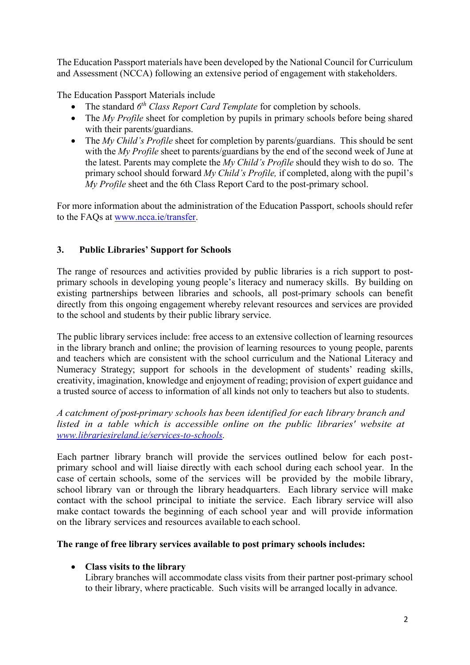The Education Passport materials have been developed by the National Council for Curriculum and Assessment (NCCA) following an extensive period of engagement with stakeholders.

The Education Passport Materials include

- The standard  $6<sup>th</sup> Class Report Card Temple for completion by schools.$
- The *My Profile* sheet for completion by pupils in primary schools before being shared with their parents/guardians.
- The *My Child's Profile* sheet for completion by parents/guardians. This should be sent with the *My Profile* sheet to parents/guardians by the end of the second week of June at the latest. Parents may complete the *My Child's Profile* should they wish to do so. The primary school should forward *My Child's Profile,* if completed, along with the pupil's *My Profile* sheet and the 6th Class Report Card to the post-primary school.

For more information about the administration of the Education Passport, schools should refer to the FAQs at [www.ncca.ie/transfer.](http://www.ncca.ie/transfer)

# **3. Public Libraries' Support for Schools**

The range of resources and activities provided by public libraries is a rich support to postprimary schools in developing young people's literacy and numeracy skills. By building on existing partnerships between libraries and schools, all post-primary schools can benefit directly from this ongoing engagement whereby relevant resources and services are provided to the school and students by their public library service.

The public library services include: free access to an extensive collection of learning resources in the library branch and online; the provision of learning resources to young people, parents and teachers which are consistent with the school curriculum and the National Literacy and Numeracy Strategy; support for schools in the development of students' reading skills, creativity, imagination, knowledge and enjoyment of reading; provision of expert guidance and a trusted source of access to information of all kinds not only to teachers but also to students.

*A catchment of post-primary schools has been identified for each library branch and listed in a table which is accessible online on the public libraries' website at [www.librariesireland.ie/services-to-schools.](http://www.librariesireland.ie/services-to-schools)*

Each partner library branch will provide the services outlined below for each postprimary school and will liaise directly with each school during each school year. In the case of certain schools, some of the services will be provided by the mobile library, school library van or through the library headquarters. Each library service will make contact with the school principal to initiate the service. Each library service will also make contact towards the beginning of each school year and will provide information on the library services and resources available to each school.

## **The range of free library services available to post primary schools includes:**

# **Class visits to the library**

Library branches will accommodate class visits from their partner post-primary school to their library, where practicable. Such visits will be arranged locally in advance.